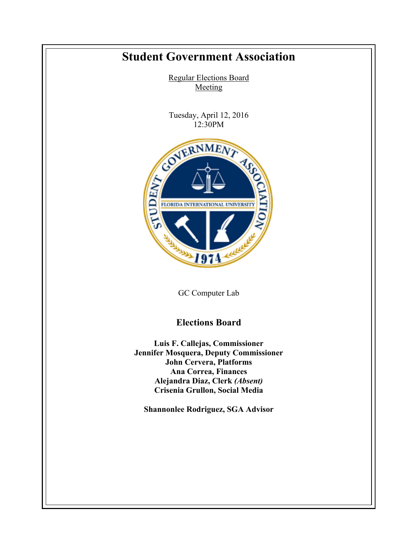